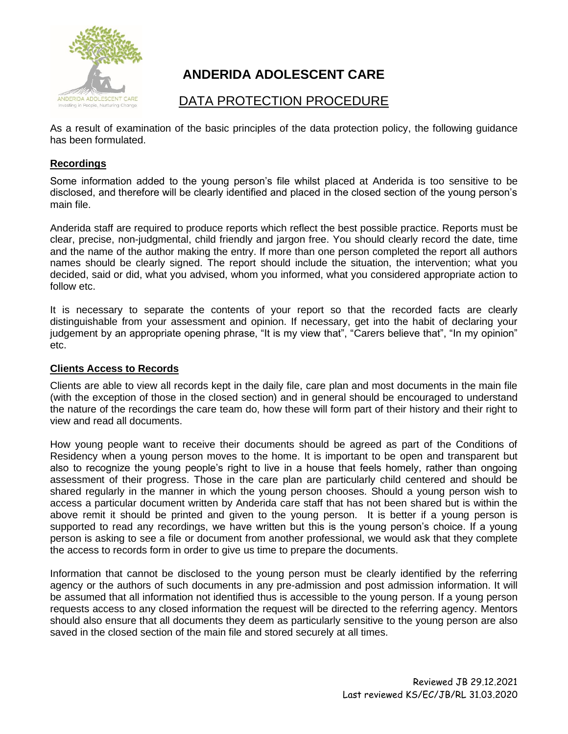

# **ANDERIDA ADOLESCENT CARE**

## DATA PROTECTION PROCEDURE

As a result of examination of the basic principles of the data protection policy, the following guidance has been formulated.

## **Recordings**

Some information added to the young person's file whilst placed at Anderida is too sensitive to be disclosed, and therefore will be clearly identified and placed in the closed section of the young person's main file.

Anderida staff are required to produce reports which reflect the best possible practice. Reports must be clear, precise, non-judgmental, child friendly and jargon free. You should clearly record the date, time and the name of the author making the entry. If more than one person completed the report all authors names should be clearly signed. The report should include the situation, the intervention; what you decided, said or did, what you advised, whom you informed, what you considered appropriate action to follow etc.

It is necessary to separate the contents of your report so that the recorded facts are clearly distinguishable from your assessment and opinion. If necessary, get into the habit of declaring your judgement by an appropriate opening phrase, "It is my view that", "Carers believe that", "In my opinion" etc.

#### **Clients Access to Records**

Clients are able to view all records kept in the daily file, care plan and most documents in the main file (with the exception of those in the closed section) and in general should be encouraged to understand the nature of the recordings the care team do, how these will form part of their history and their right to view and read all documents.

How young people want to receive their documents should be agreed as part of the Conditions of Residency when a young person moves to the home. It is important to be open and transparent but also to recognize the young people's right to live in a house that feels homely, rather than ongoing assessment of their progress. Those in the care plan are particularly child centered and should be shared regularly in the manner in which the young person chooses. Should a young person wish to access a particular document written by Anderida care staff that has not been shared but is within the above remit it should be printed and given to the young person. It is better if a young person is supported to read any recordings, we have written but this is the young person's choice. If a young person is asking to see a file or document from another professional, we would ask that they complete the access to records form in order to give us time to prepare the documents.

Information that cannot be disclosed to the young person must be clearly identified by the referring agency or the authors of such documents in any pre-admission and post admission information. It will be assumed that all information not identified thus is accessible to the young person. If a young person requests access to any closed information the request will be directed to the referring agency. Mentors should also ensure that all documents they deem as particularly sensitive to the young person are also saved in the closed section of the main file and stored securely at all times.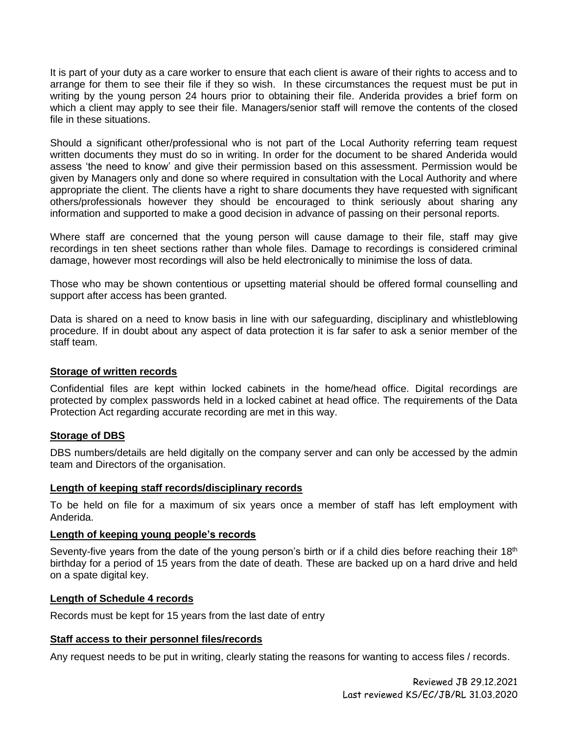It is part of your duty as a care worker to ensure that each client is aware of their rights to access and to arrange for them to see their file if they so wish. In these circumstances the request must be put in writing by the young person 24 hours prior to obtaining their file. Anderida provides a brief form on which a client may apply to see their file. Managers/senior staff will remove the contents of the closed file in these situations.

Should a significant other/professional who is not part of the Local Authority referring team request written documents they must do so in writing. In order for the document to be shared Anderida would assess 'the need to know' and give their permission based on this assessment. Permission would be given by Managers only and done so where required in consultation with the Local Authority and where appropriate the client. The clients have a right to share documents they have requested with significant others/professionals however they should be encouraged to think seriously about sharing any information and supported to make a good decision in advance of passing on their personal reports.

Where staff are concerned that the young person will cause damage to their file, staff may give recordings in ten sheet sections rather than whole files. Damage to recordings is considered criminal damage, however most recordings will also be held electronically to minimise the loss of data.

Those who may be shown contentious or upsetting material should be offered formal counselling and support after access has been granted.

Data is shared on a need to know basis in line with our safeguarding, disciplinary and whistleblowing procedure. If in doubt about any aspect of data protection it is far safer to ask a senior member of the staff team.

#### **Storage of written records**

Confidential files are kept within locked cabinets in the home/head office. Digital recordings are protected by complex passwords held in a locked cabinet at head office. The requirements of the Data Protection Act regarding accurate recording are met in this way.

## **Storage of DBS**

DBS numbers/details are held digitally on the company server and can only be accessed by the admin team and Directors of the organisation.

#### **Length of keeping staff records/disciplinary records**

To be held on file for a maximum of six years once a member of staff has left employment with Anderida.

#### **Length of keeping young people's records**

Seventy-five years from the date of the young person's birth or if a child dies before reaching their 18<sup>th</sup> birthday for a period of 15 years from the date of death. These are backed up on a hard drive and held on a spate digital key.

#### **Length of Schedule 4 records**

Records must be kept for 15 years from the last date of entry

#### **Staff access to their personnel files/records**

Any request needs to be put in writing, clearly stating the reasons for wanting to access files / records.